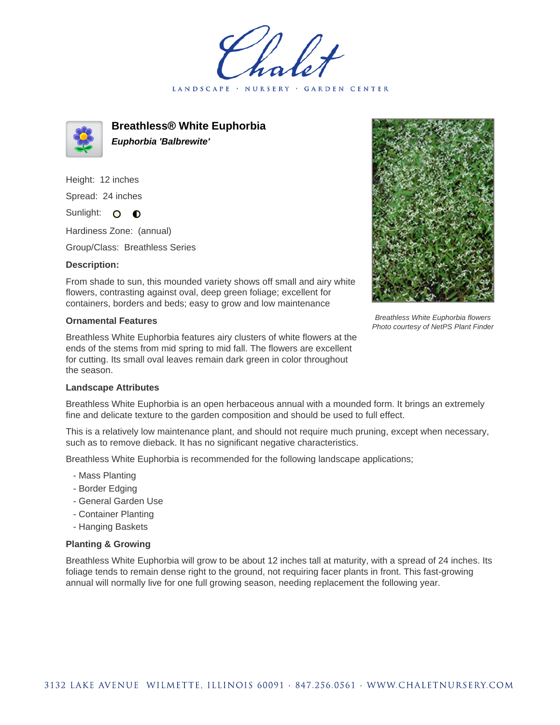LANDSCAPE · NURSERY GARDEN CENTER



**Breathless® White Euphorbia Euphorbia 'Balbrewite'**

Height: 12 inches Spread: 24 inches

Sunlight: O O

Hardiness Zone: (annual)

Group/Class: Breathless Series

## **Description:**

From shade to sun, this mounded variety shows off small and airy white flowers, contrasting against oval, deep green foliage; excellent for containers, borders and beds; easy to grow and low maintenance

## **Ornamental Features**

Breathless White Euphorbia features airy clusters of white flowers at the ends of the stems from mid spring to mid fall. The flowers are excellent for cutting. Its small oval leaves remain dark green in color throughout the season.



Breathless White Euphorbia flowers Photo courtesy of NetPS Plant Finder

## **Landscape Attributes**

Breathless White Euphorbia is an open herbaceous annual with a mounded form. It brings an extremely fine and delicate texture to the garden composition and should be used to full effect.

This is a relatively low maintenance plant, and should not require much pruning, except when necessary, such as to remove dieback. It has no significant negative characteristics.

Breathless White Euphorbia is recommended for the following landscape applications;

- Mass Planting
- Border Edging
- General Garden Use
- Container Planting
- Hanging Baskets

## **Planting & Growing**

Breathless White Euphorbia will grow to be about 12 inches tall at maturity, with a spread of 24 inches. Its foliage tends to remain dense right to the ground, not requiring facer plants in front. This fast-growing annual will normally live for one full growing season, needing replacement the following year.